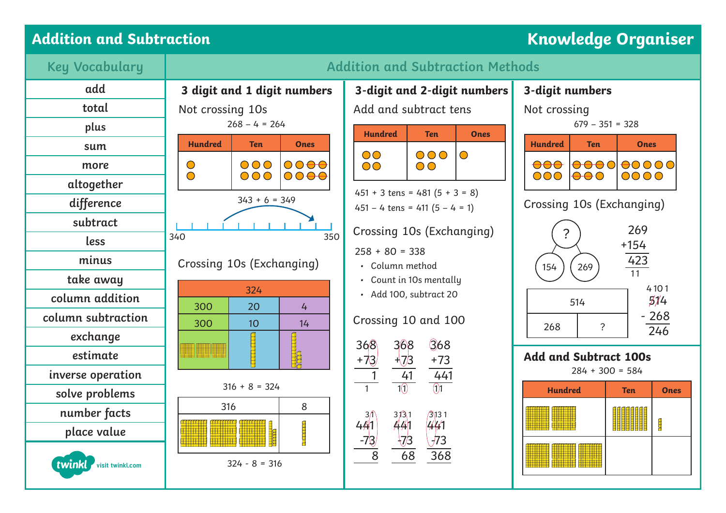## Addition and Subtraction **Research Construction** Construction **Knowledge Organiser**





| Not crossing<br>$679 - 351 = 328$                     |            |                                   |                           |             |  |
|-------------------------------------------------------|------------|-----------------------------------|---------------------------|-------------|--|
| <b>Hundred</b>                                        | <b>Ten</b> |                                   | Ones                      |             |  |
| $\overline{O}$                                        |            | $\ominus$ $\ominus$               | <del>0</del> 0000<br>0000 |             |  |
| Crossing 10s (Exchanging)                             |            |                                   |                           |             |  |
| 269<br>?<br>$+154$<br>423<br>269<br>154<br>11<br>4101 |            |                                   |                           |             |  |
| 268                                                   |            | 514<br>$-268$<br>$\overline{246}$ |                           |             |  |
| <b>Add and Subtract 100s</b><br>$284 + 300 = 584$     |            |                                   |                           |             |  |
| <b>Hundred</b>                                        |            |                                   | <b>Ten</b>                | <b>Ones</b> |  |
|                                                       |            |                                   |                           | Į           |  |
|                                                       |            |                                   |                           |             |  |